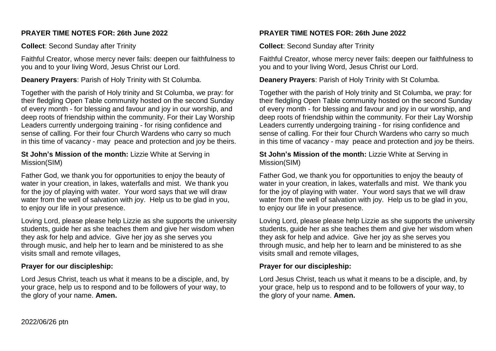### **PRAYER TIME NOTES FOR: 26th June 2022**

**Collect**: Second Sunday after Trinity

Faithful Creator, whose mercy never fails: deepen our faithfulness to you and to your living Word, Jesus Christ our Lord.

**Deanery Prayers**: Parish of Holy Trinity with St Columba.

Together with the parish of Holy trinity and St Columba, we pray: for their fledgling Open Table community hosted on the second Sunday of every month - for blessing and favour and joy in our worship, and deep roots of friendship within the community. For their Lay Worship Leaders currently undergoing training - for rising confidence and sense of calling. For their four Church Wardens who carry so much in this time of vacancy - may peace and protection and joy be theirs.

**St John's Mission of the month:** Lizzie White at Serving in Mission(SIM)

Father God, we thank you for opportunities to enjoy the beauty of water in your creation, in lakes, waterfalls and mist. We thank you for the joy of playing with water. Your word says that we will draw water from the well of salvation with joy. Help us to be glad in you, to enjoy our life in your presence.

Loving Lord, please please help Lizzie as she supports the university students, guide her as she teaches them and give her wisdom when they ask for help and advice. Give her joy as she serves you through music, and help her to learn and be ministered to as she visits small and remote villages,

# **Prayer for our discipleship:**

Lord Jesus Christ, teach us what it means to be a disciple, and, by your grace, help us to respond and to be followers of your way, to the glory of your name. **Amen.**

# **PRAYER TIME NOTES FOR: 26th June 2022**

**Collect**: Second Sunday after Trinity

Faithful Creator, whose mercy never fails: deepen our faithfulness to you and to your living Word, Jesus Christ our Lord.

**Deanery Prayers**: Parish of Holy Trinity with St Columba.

Together with the parish of Holy trinity and St Columba, we pray: for their fledgling Open Table community hosted on the second Sunday of every month - for blessing and favour and joy in our worship, and deep roots of friendship within the community. For their Lay Worship Leaders currently undergoing training - for rising confidence and sense of calling. For their four Church Wardens who carry so much in this time of vacancy - may peace and protection and joy be theirs.

#### **St John's Mission of the month:** Lizzie White at Serving in Mission(SIM)

Father God, we thank you for opportunities to enjoy the beauty of water in your creation, in lakes, waterfalls and mist. We thank you for the joy of playing with water. Your word says that we will draw water from the well of salvation with joy. Help us to be glad in you, to enjoy our life in your presence.

Loving Lord, please please help Lizzie as she supports the university students, guide her as she teaches them and give her wisdom when they ask for help and advice. Give her joy as she serves you through music, and help her to learn and be ministered to as she visits small and remote villages,

# **Prayer for our discipleship:**

Lord Jesus Christ, teach us what it means to be a disciple, and, by your grace, help us to respond and to be followers of your way, to the glory of your name. **Amen.**